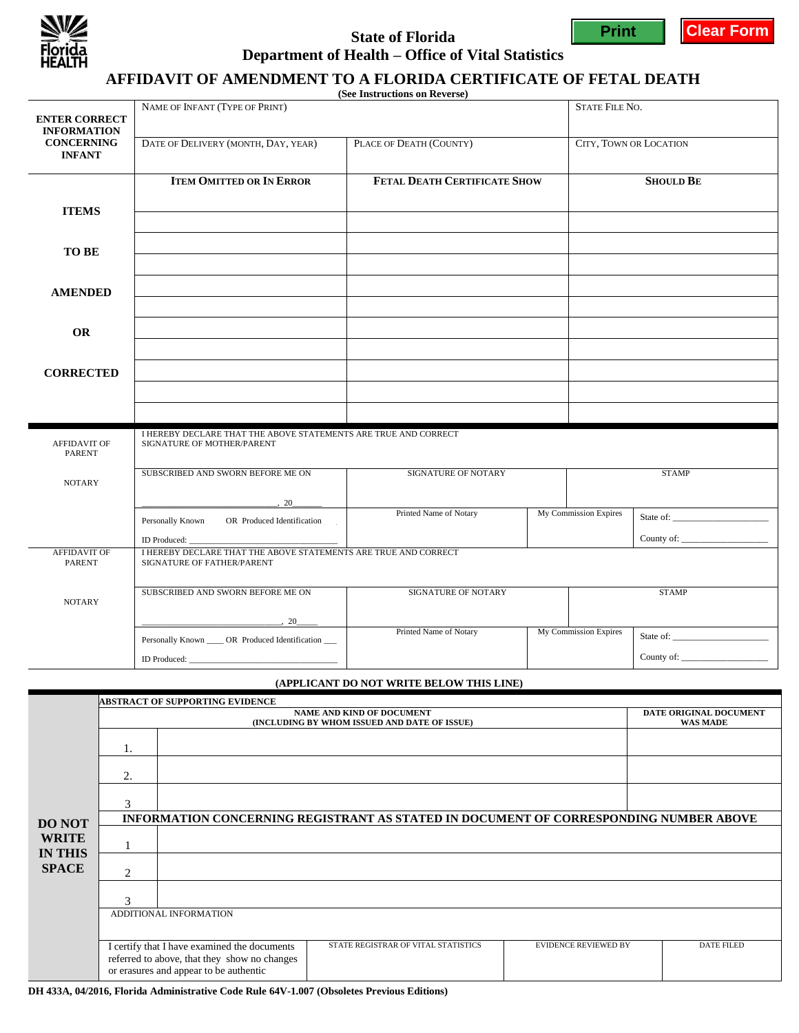

### **State of Florida Department of Health – Office of Vital Statistics**



**Print Clear Form**

# **AFFIDAVIT OF AMENDMENT TO A FLORIDA CERTIFICATE OF FETAL DEATH**

**(See Instructions on Reverse)**

|                                            |                                                                                               | (See Histructions on Reverse) |                       |                        |  |  |  |
|--------------------------------------------|-----------------------------------------------------------------------------------------------|-------------------------------|-----------------------|------------------------|--|--|--|
| <b>ENTER CORRECT</b><br><b>INFORMATION</b> | NAME OF INFANT (TYPE OF PRINT)                                                                |                               |                       | <b>STATE FILE NO.</b>  |  |  |  |
| <b>CONCERNING</b><br><b>INFANT</b>         | DATE OF DELIVERY (MONTH, DAY, YEAR)                                                           | PLACE OF DEATH (COUNTY)       |                       | CITY, TOWN OR LOCATION |  |  |  |
|                                            | <b>ITEM OMITTED OR IN ERROR</b>                                                               | FETAL DEATH CERTIFICATE SHOW  |                       | <b>SHOULD BE</b>       |  |  |  |
| <b>ITEMS</b>                               |                                                                                               |                               |                       |                        |  |  |  |
| TO BE                                      |                                                                                               |                               |                       |                        |  |  |  |
|                                            |                                                                                               |                               |                       |                        |  |  |  |
| <b>AMENDED</b>                             |                                                                                               |                               |                       |                        |  |  |  |
| <b>OR</b>                                  |                                                                                               |                               |                       |                        |  |  |  |
|                                            |                                                                                               |                               |                       |                        |  |  |  |
| <b>CORRECTED</b>                           |                                                                                               |                               |                       |                        |  |  |  |
|                                            |                                                                                               |                               |                       |                        |  |  |  |
|                                            |                                                                                               |                               |                       |                        |  |  |  |
| <b>AFFIDAVIT OF</b><br><b>PARENT</b>       | I HEREBY DECLARE THAT THE ABOVE STATEMENTS ARE TRUE AND CORRECT<br>SIGNATURE OF MOTHER/PARENT |                               |                       |                        |  |  |  |
| <b>NOTARY</b>                              | SUBSCRIBED AND SWORN BEFORE ME ON                                                             | SIGNATURE OF NOTARY           |                       | <b>STAMP</b>           |  |  |  |
|                                            | , 20<br>Personally Known OR Produced Identification                                           | Printed Name of Notary        | My Commission Expires | State of:              |  |  |  |
|                                            |                                                                                               |                               |                       |                        |  |  |  |
| <b>AFFIDAVIT OF</b><br><b>PARENT</b>       | I HEREBY DECLARE THAT THE ABOVE STATEMENTS ARE TRUE AND CORRECT<br>SIGNATURE OF FATHER/PARENT |                               |                       |                        |  |  |  |
| <b>NOTARY</b>                              | SUBSCRIBED AND SWORN BEFORE ME ON                                                             | <b>SIGNATURE OF NOTARY</b>    |                       | <b>STAMP</b>           |  |  |  |
|                                            | 20                                                                                            | Printed Name of Notary        | My Commission Expires |                        |  |  |  |
|                                            | Personally Known _____ OR Produced Identification ___                                         |                               |                       |                        |  |  |  |
|                                            | ID Produced:                                                                                  |                               |                       |                        |  |  |  |

#### **(APPLICANT DO NOT WRITE BELOW THIS LINE)**

|                                                                 | <b>ABSTRACT OF SUPPORTING EVIDENCE</b>                                                |                                                                                                                                        |                                     |                             |                                           |  |  |
|-----------------------------------------------------------------|---------------------------------------------------------------------------------------|----------------------------------------------------------------------------------------------------------------------------------------|-------------------------------------|-----------------------------|-------------------------------------------|--|--|
| <b>DO NOT</b><br><b>WRITE</b><br><b>IN THIS</b><br><b>SPACE</b> | <b>NAME AND KIND OF DOCUMENT</b><br>(INCLUDING BY WHOM ISSUED AND DATE OF ISSUE)      |                                                                                                                                        |                                     |                             | DATE ORIGINAL DOCUMENT<br><b>WAS MADE</b> |  |  |
|                                                                 |                                                                                       |                                                                                                                                        |                                     |                             |                                           |  |  |
|                                                                 | 2.                                                                                    |                                                                                                                                        |                                     |                             |                                           |  |  |
|                                                                 | 3                                                                                     |                                                                                                                                        |                                     |                             |                                           |  |  |
|                                                                 | INFORMATION CONCERNING REGISTRANT AS STATED IN DOCUMENT OF CORRESPONDING NUMBER ABOVE |                                                                                                                                        |                                     |                             |                                           |  |  |
|                                                                 |                                                                                       |                                                                                                                                        |                                     |                             |                                           |  |  |
|                                                                 | 2                                                                                     |                                                                                                                                        |                                     |                             |                                           |  |  |
|                                                                 |                                                                                       |                                                                                                                                        |                                     |                             |                                           |  |  |
|                                                                 | ADDITIONAL INFORMATION                                                                |                                                                                                                                        |                                     |                             |                                           |  |  |
|                                                                 |                                                                                       | I certify that I have examined the documents<br>referred to above, that they show no changes<br>or erasures and appear to be authentic | STATE REGISTRAR OF VITAL STATISTICS | <b>EVIDENCE REVIEWED BY</b> | <b>DATE FILED</b>                         |  |  |